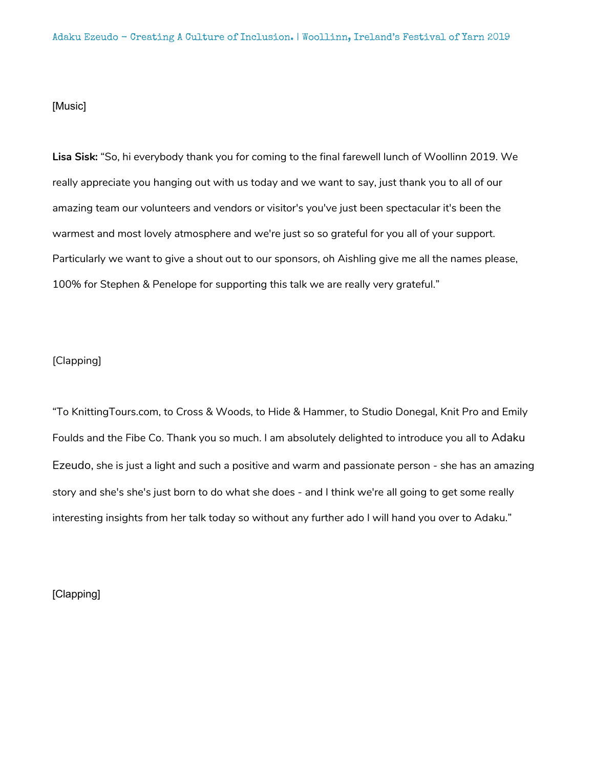# [Music]

**Lisa Sisk:** "So, hi everybody thank you for coming to the final farewell lunch of Woollinn 2019. We really appreciate you hanging out with us today and we want to say, just thank you to all of our amazing team our volunteers and vendors or visitor's you've just been spectacular it's been the warmest and most lovely atmosphere and we're just so so grateful for you all of your support. Particularly we want to give a shout out to our sponsors, oh Aishling give me all the names please, 100% for Stephen & Penelope for supporting this talk we are really very grateful."

### [Clapping]

"To KnittingTours.com, to Cross & Woods, to Hide & Hammer, to Studio Donegal, Knit Pro and Emily Foulds and the Fibe Co. Thank you so much. I am absolutely delighted to introduce you all to Adaku Ezeudo, she is just a light and such a positive and warm and passionate person - she has an amazing story and she's she's just born to do what she does - and I think we're all going to get some really interesting insights from her talk today so without any further ado I will hand you over to Adaku."

[Clapping]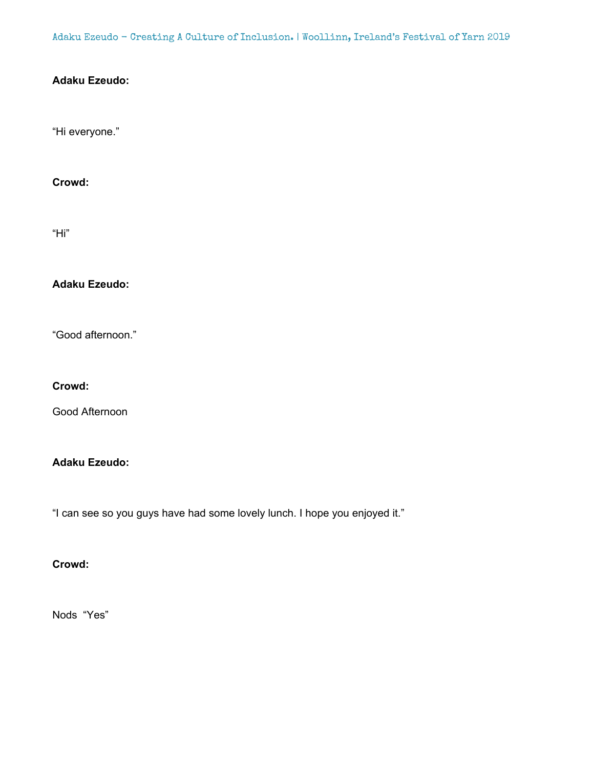Adaku Ezeudo - Creating A Culture of Inclusion. | Woollinn, Ireland's Festival of Yarn 2019

# **Adaku Ezeudo:**

"Hi everyone."

**Crowd:**

"Hi"

**Adaku Ezeudo:**

"Good afternoon."

**Crowd:**

Good Afternoon

# **Adaku Ezeudo:**

"I can see so you guys have had some lovely lunch. I hope you enjoyed it."

**Crowd:**

Nods "Yes"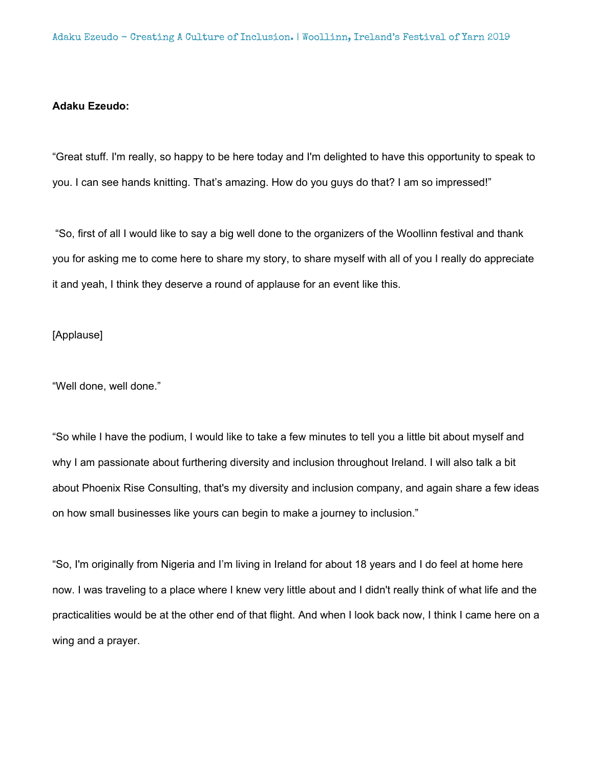# **Adaku Ezeudo:**

"Great stuff. I'm really, so happy to be here today and I'm delighted to have this opportunity to speak to you. I can see hands knitting. That's amazing. How do you guys do that? I am so impressed!"

"So, first of all I would like to say a big well done to the organizers of the Woollinn festival and thank you for asking me to come here to share my story, to share myself with all of you I really do appreciate it and yeah, I think they deserve a round of applause for an event like this.

# [Applause]

"Well done, well done."

"So while I have the podium, I would like to take a few minutes to tell you a little bit about myself and why I am passionate about furthering diversity and inclusion throughout Ireland. I will also talk a bit about Phoenix Rise Consulting, that's my diversity and inclusion company, and again share a few ideas on how small businesses like yours can begin to make a journey to inclusion."

"So, I'm originally from Nigeria and I'm living in Ireland for about 18 years and I do feel at home here now. I was traveling to a place where I knew very little about and I didn't really think of what life and the practicalities would be at the other end of that flight. And when I look back now, I think I came here on a wing and a prayer.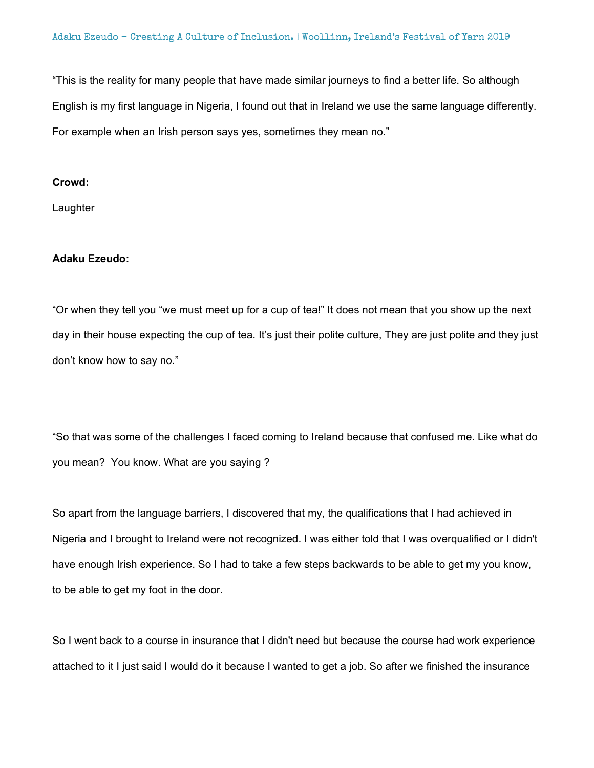"This is the reality for many people that have made similar journeys to find a better life. So although English is my first language in Nigeria, I found out that in Ireland we use the same language differently. For example when an Irish person says yes, sometimes they mean no."

### **Crowd:**

**Laughter** 

### **Adaku Ezeudo:**

"Or when they tell you "we must meet up for a cup of tea!" It does not mean that you show up the next day in their house expecting the cup of tea. It's just their polite culture, They are just polite and they just don't know how to say no."

"So that was some of the challenges I faced coming to Ireland because that confused me. Like what do you mean? You know. What are you saying ?

So apart from the language barriers, I discovered that my, the qualifications that I had achieved in Nigeria and I brought to Ireland were not recognized. I was either told that I was overqualified or I didn't have enough Irish experience. So I had to take a few steps backwards to be able to get my you know, to be able to get my foot in the door.

So I went back to a course in insurance that I didn't need but because the course had work experience attached to it I just said I would do it because I wanted to get a job. So after we finished the insurance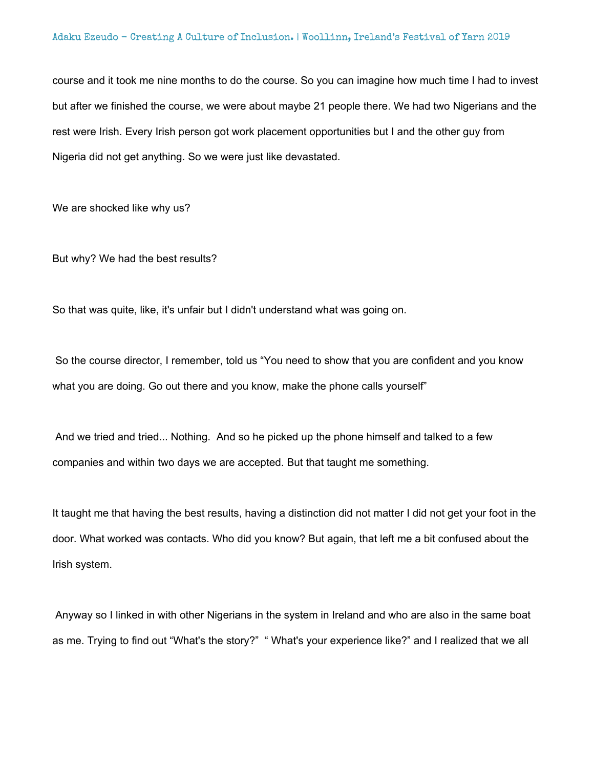course and it took me nine months to do the course. So you can imagine how much time I had to invest but after we finished the course, we were about maybe 21 people there. We had two Nigerians and the rest were Irish. Every Irish person got work placement opportunities but I and the other guy from Nigeria did not get anything. So we were just like devastated.

We are shocked like why us?

But why? We had the best results?

So that was quite, like, it's unfair but I didn't understand what was going on.

So the course director, I remember, told us "You need to show that you are confident and you know what you are doing. Go out there and you know, make the phone calls yourself"

And we tried and tried... Nothing. And so he picked up the phone himself and talked to a few companies and within two days we are accepted. But that taught me something.

It taught me that having the best results, having a distinction did not matter I did not get your foot in the door. What worked was contacts. Who did you know? But again, that left me a bit confused about the Irish system.

Anyway so I linked in with other Nigerians in the system in Ireland and who are also in the same boat as me. Trying to find out "What's the story?" " What's your experience like?" and I realized that we all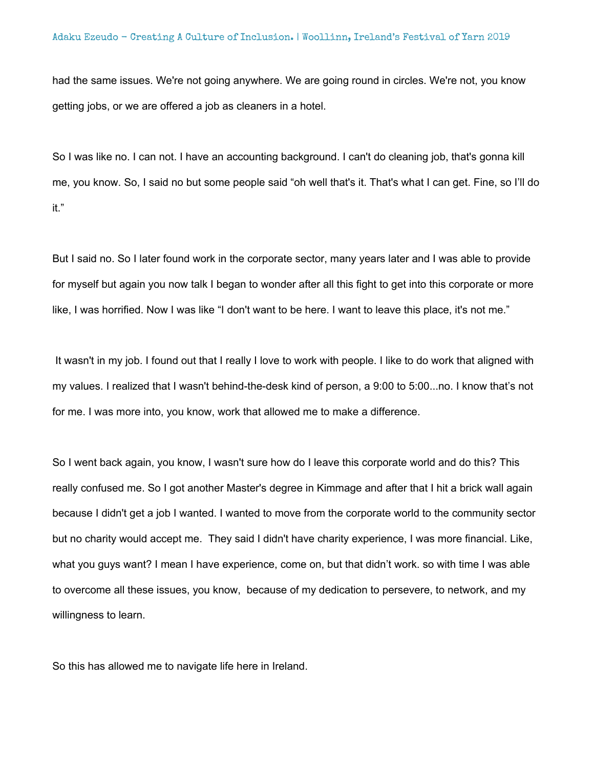had the same issues. We're not going anywhere. We are going round in circles. We're not, you know getting jobs, or we are offered a job as cleaners in a hotel.

So I was like no. I can not. I have an accounting background. I can't do cleaning job, that's gonna kill me, you know. So, I said no but some people said "oh well that's it. That's what I can get. Fine, so I'll do it."

But I said no. So I later found work in the corporate sector, many years later and I was able to provide for myself but again you now talk I began to wonder after all this fight to get into this corporate or more like, I was horrified. Now I was like "I don't want to be here. I want to leave this place, it's not me."

It wasn't in my job. I found out that I really I love to work with people. I like to do work that aligned with my values. I realized that I wasn't behind-the-desk kind of person, a 9:00 to 5:00...no. I know that's not for me. I was more into, you know, work that allowed me to make a difference.

So I went back again, you know, I wasn't sure how do I leave this corporate world and do this? This really confused me. So I got another Master's degree in Kimmage and after that I hit a brick wall again because I didn't get a job I wanted. I wanted to move from the corporate world to the community sector but no charity would accept me. They said I didn't have charity experience, I was more financial. Like, what you guys want? I mean I have experience, come on, but that didn't work. so with time I was able to overcome all these issues, you know, because of my dedication to persevere, to network, and my willingness to learn.

So this has allowed me to navigate life here in Ireland.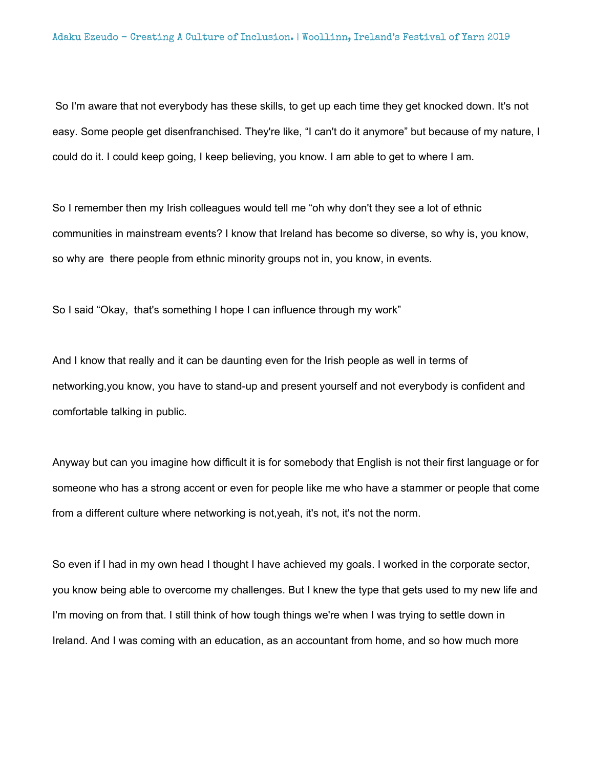So I'm aware that not everybody has these skills, to get up each time they get knocked down. It's not easy. Some people get disenfranchised. They're like, "I can't do it anymore" but because of my nature, I could do it. I could keep going, I keep believing, you know. I am able to get to where I am.

So I remember then my Irish colleagues would tell me "oh why don't they see a lot of ethnic communities in mainstream events? I know that Ireland has become so diverse, so why is, you know, so why are there people from ethnic minority groups not in, you know, in events.

So I said "Okay, that's something I hope I can influence through my work"

And I know that really and it can be daunting even for the Irish people as well in terms of networking,you know, you have to stand-up and present yourself and not everybody is confident and comfortable talking in public.

Anyway but can you imagine how difficult it is for somebody that English is not their first language or for someone who has a strong accent or even for people like me who have a stammer or people that come from a different culture where networking is not,yeah, it's not, it's not the norm.

So even if I had in my own head I thought I have achieved my goals. I worked in the corporate sector, you know being able to overcome my challenges. But I knew the type that gets used to my new life and I'm moving on from that. I still think of how tough things we're when I was trying to settle down in Ireland. And I was coming with an education, as an accountant from home, and so how much more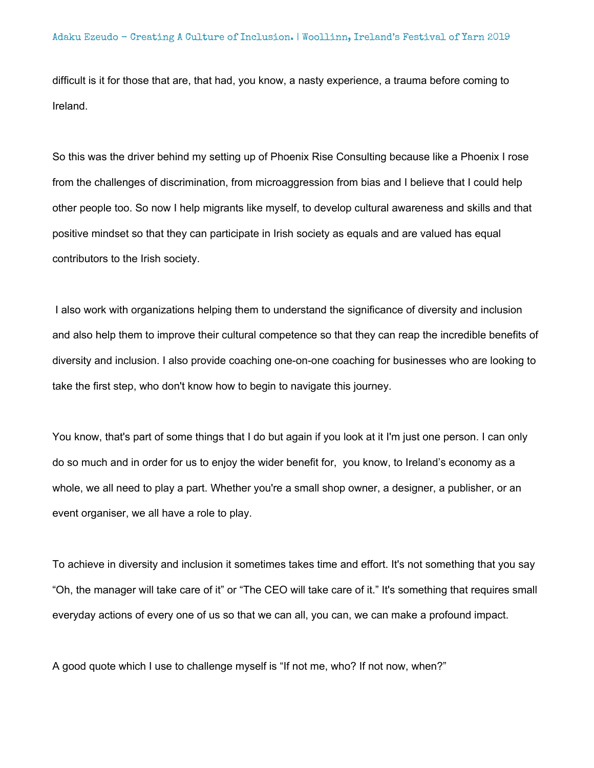difficult is it for those that are, that had, you know, a nasty experience, a trauma before coming to Ireland.

So this was the driver behind my setting up of Phoenix Rise Consulting because like a Phoenix I rose from the challenges of discrimination, from microaggression from bias and I believe that I could help other people too. So now I help migrants like myself, to develop cultural awareness and skills and that positive mindset so that they can participate in Irish society as equals and are valued has equal contributors to the Irish society.

I also work with organizations helping them to understand the significance of diversity and inclusion and also help them to improve their cultural competence so that they can reap the incredible benefits of diversity and inclusion. I also provide coaching one-on-one coaching for businesses who are looking to take the first step, who don't know how to begin to navigate this journey.

You know, that's part of some things that I do but again if you look at it I'm just one person. I can only do so much and in order for us to enjoy the wider benefit for, you know, to Ireland's economy as a whole, we all need to play a part. Whether you're a small shop owner, a designer, a publisher, or an event organiser, we all have a role to play.

To achieve in diversity and inclusion it sometimes takes time and effort. It's not something that you say "Oh, the manager will take care of it" or "The CEO will take care of it." It's something that requires small everyday actions of every one of us so that we can all, you can, we can make a profound impact.

A good quote which I use to challenge myself is "If not me, who? If not now, when?"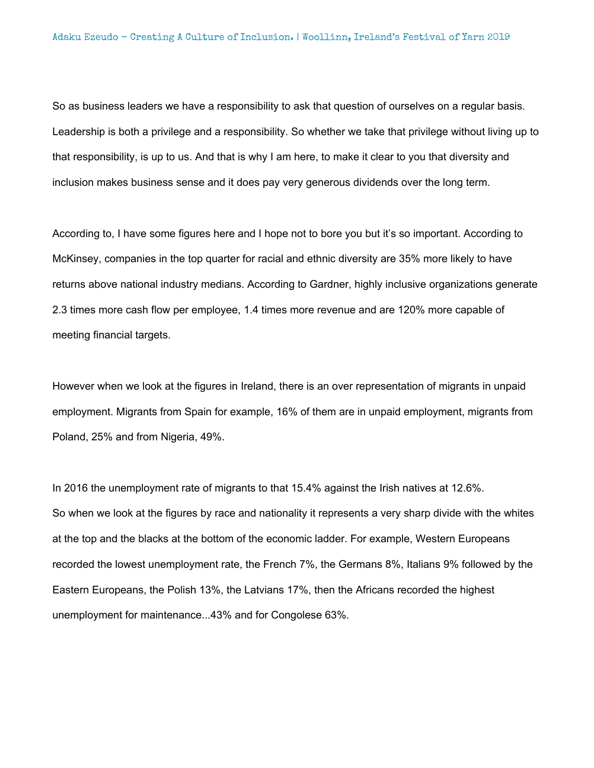So as business leaders we have a responsibility to ask that question of ourselves on a regular basis. Leadership is both a privilege and a responsibility. So whether we take that privilege without living up to that responsibility, is up to us. And that is why I am here, to make it clear to you that diversity and inclusion makes business sense and it does pay very generous dividends over the long term.

According to, I have some figures here and I hope not to bore you but it's so important. According to McKinsey, companies in the top quarter for racial and ethnic diversity are 35% more likely to have returns above national industry medians. According to Gardner, highly inclusive organizations generate 2.3 times more cash flow per employee, 1.4 times more revenue and are 120% more capable of meeting financial targets.

However when we look at the figures in Ireland, there is an over representation of migrants in unpaid employment. Migrants from Spain for example, 16% of them are in unpaid employment, migrants from Poland, 25% and from Nigeria, 49%.

In 2016 the unemployment rate of migrants to that 15.4% against the Irish natives at 12.6%. So when we look at the figures by race and nationality it represents a very sharp divide with the whites at the top and the blacks at the bottom of the economic ladder. For example, Western Europeans recorded the lowest unemployment rate, the French 7%, the Germans 8%, Italians 9% followed by the Eastern Europeans, the Polish 13%, the Latvians 17%, then the Africans recorded the highest unemployment for maintenance...43% and for Congolese 63%.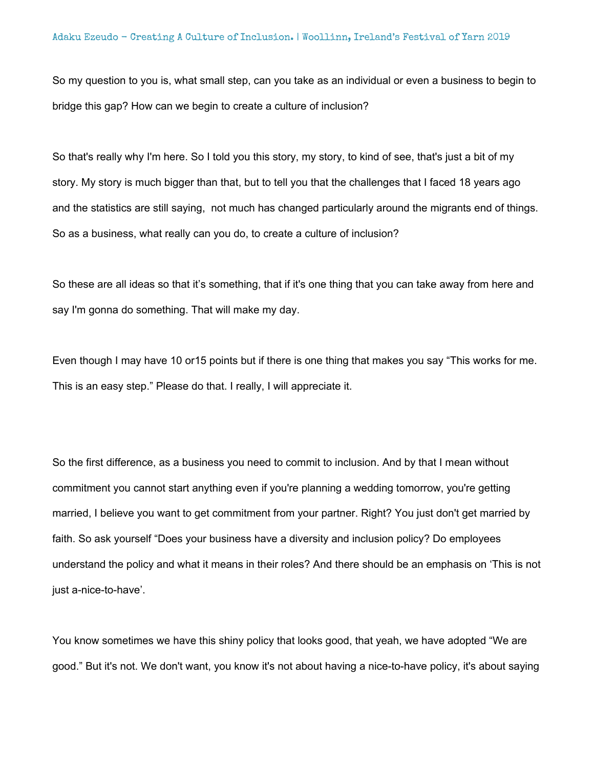So my question to you is, what small step, can you take as an individual or even a business to begin to bridge this gap? How can we begin to create a culture of inclusion?

So that's really why I'm here. So I told you this story, my story, to kind of see, that's just a bit of my story. My story is much bigger than that, but to tell you that the challenges that I faced 18 years ago and the statistics are still saying, not much has changed particularly around the migrants end of things. So as a business, what really can you do, to create a culture of inclusion?

So these are all ideas so that it's something, that if it's one thing that you can take away from here and say I'm gonna do something. That will make my day.

Even though I may have 10 or15 points but if there is one thing that makes you say "This works for me. This is an easy step." Please do that. I really, I will appreciate it.

So the first difference, as a business you need to commit to inclusion. And by that I mean without commitment you cannot start anything even if you're planning a wedding tomorrow, you're getting married, I believe you want to get commitment from your partner. Right? You just don't get married by faith. So ask yourself "Does your business have a diversity and inclusion policy? Do employees understand the policy and what it means in their roles? And there should be an emphasis on 'This is not just a-nice-to-have'.

You know sometimes we have this shiny policy that looks good, that yeah, we have adopted "We are good." But it's not. We don't want, you know it's not about having a nice-to-have policy, it's about saying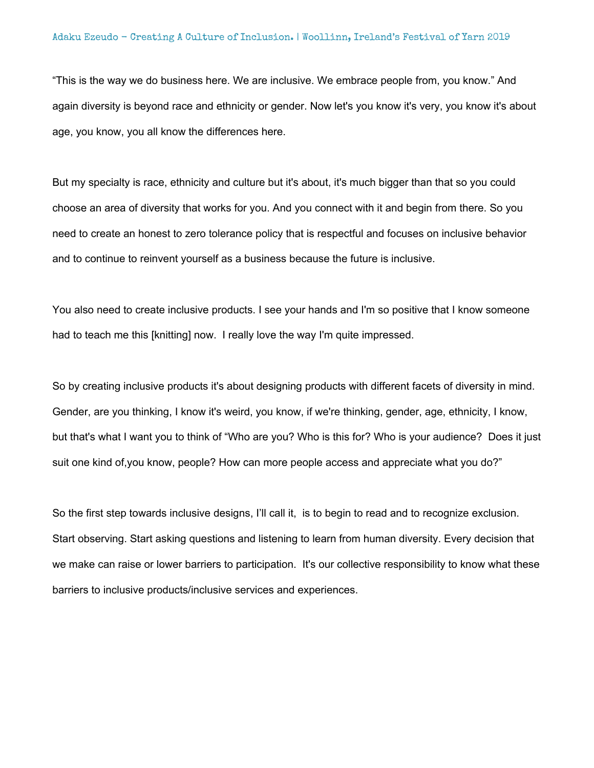"This is the way we do business here. We are inclusive. We embrace people from, you know." And again diversity is beyond race and ethnicity or gender. Now let's you know it's very, you know it's about age, you know, you all know the differences here.

But my specialty is race, ethnicity and culture but it's about, it's much bigger than that so you could choose an area of diversity that works for you. And you connect with it and begin from there. So you need to create an honest to zero tolerance policy that is respectful and focuses on inclusive behavior and to continue to reinvent yourself as a business because the future is inclusive.

You also need to create inclusive products. I see your hands and I'm so positive that I know someone had to teach me this [knitting] now. I really love the way I'm quite impressed.

So by creating inclusive products it's about designing products with different facets of diversity in mind. Gender, are you thinking, I know it's weird, you know, if we're thinking, gender, age, ethnicity, I know, but that's what I want you to think of "Who are you? Who is this for? Who is your audience? Does it just suit one kind of,you know, people? How can more people access and appreciate what you do?"

So the first step towards inclusive designs, I'll call it, is to begin to read and to recognize exclusion. Start observing. Start asking questions and listening to learn from human diversity. Every decision that we make can raise or lower barriers to participation. It's our collective responsibility to know what these barriers to inclusive products/inclusive services and experiences.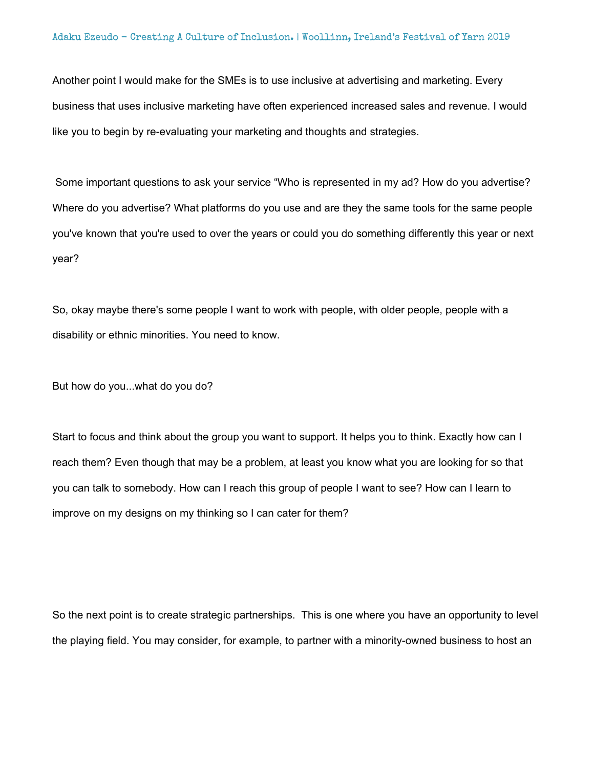Another point I would make for the SMEs is to use inclusive at advertising and marketing. Every business that uses inclusive marketing have often experienced increased sales and revenue. I would like you to begin by re-evaluating your marketing and thoughts and strategies.

Some important questions to ask your service "Who is represented in my ad? How do you advertise? Where do you advertise? What platforms do you use and are they the same tools for the same people you've known that you're used to over the years or could you do something differently this year or next year?

So, okay maybe there's some people I want to work with people, with older people, people with a disability or ethnic minorities. You need to know.

But how do you...what do you do?

Start to focus and think about the group you want to support. It helps you to think. Exactly how can I reach them? Even though that may be a problem, at least you know what you are looking for so that you can talk to somebody. How can I reach this group of people I want to see? How can I learn to improve on my designs on my thinking so I can cater for them?

So the next point is to create strategic partnerships. This is one where you have an opportunity to level the playing field. You may consider, for example, to partner with a minority-owned business to host an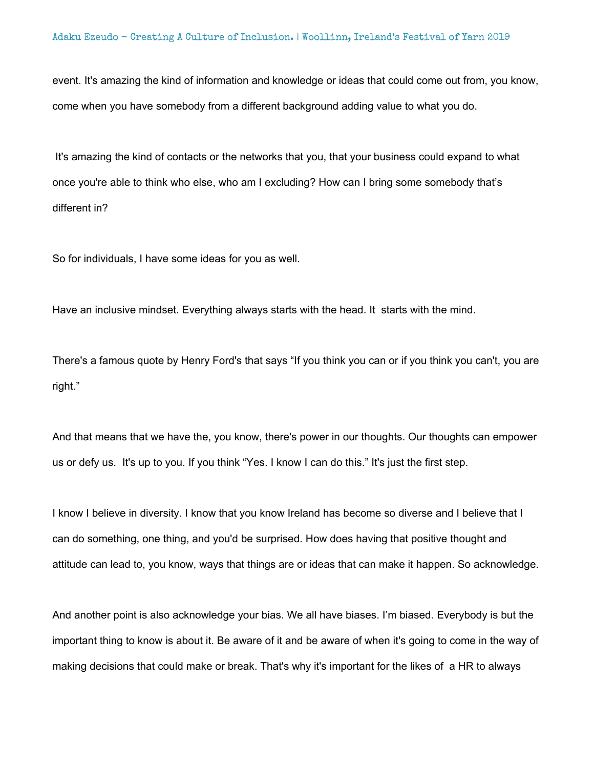event. It's amazing the kind of information and knowledge or ideas that could come out from, you know, come when you have somebody from a different background adding value to what you do.

It's amazing the kind of contacts or the networks that you, that your business could expand to what once you're able to think who else, who am I excluding? How can I bring some somebody that's different in?

So for individuals, I have some ideas for you as well.

Have an inclusive mindset. Everything always starts with the head. It starts with the mind.

There's a famous quote by Henry Ford's that says "If you think you can or if you think you can't, you are right."

And that means that we have the, you know, there's power in our thoughts. Our thoughts can empower us or defy us. It's up to you. If you think "Yes. I know I can do this." It's just the first step.

I know I believe in diversity. I know that you know Ireland has become so diverse and I believe that I can do something, one thing, and you'd be surprised. How does having that positive thought and attitude can lead to, you know, ways that things are or ideas that can make it happen. So acknowledge.

And another point is also acknowledge your bias. We all have biases. I'm biased. Everybody is but the important thing to know is about it. Be aware of it and be aware of when it's going to come in the way of making decisions that could make or break. That's why it's important for the likes of a HR to always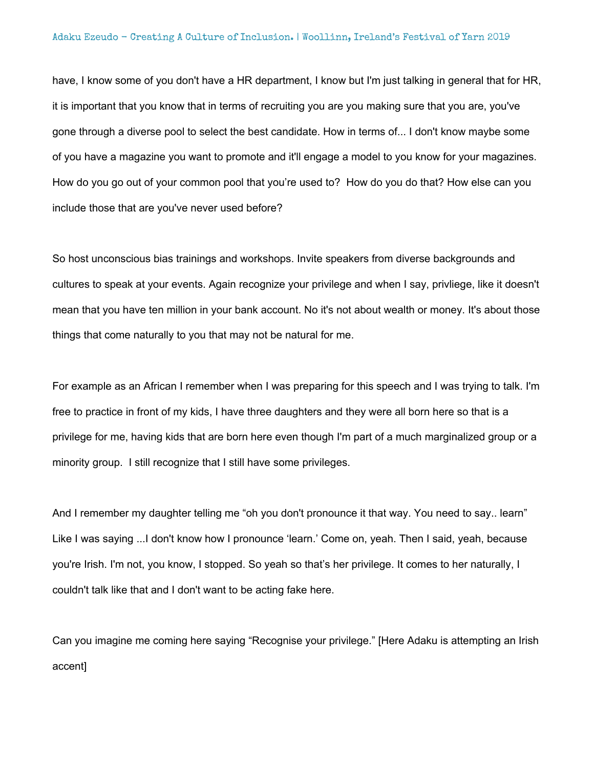#### Adaku Ezeudo - Creating A Culture of Inclusion. | Woollinn, Ireland's Festival of Yarn 2019

have, I know some of you don't have a HR department, I know but I'm just talking in general that for HR, it is important that you know that in terms of recruiting you are you making sure that you are, you've gone through a diverse pool to select the best candidate. How in terms of... I don't know maybe some of you have a magazine you want to promote and it'll engage a model to you know for your magazines. How do you go out of your common pool that you're used to? How do you do that? How else can you include those that are you've never used before?

So host unconscious bias trainings and workshops. Invite speakers from diverse backgrounds and cultures to speak at your events. Again recognize your privilege and when I say, privliege, like it doesn't mean that you have ten million in your bank account. No it's not about wealth or money. It's about those things that come naturally to you that may not be natural for me.

For example as an African I remember when I was preparing for this speech and I was trying to talk. I'm free to practice in front of my kids, I have three daughters and they were all born here so that is a privilege for me, having kids that are born here even though I'm part of a much marginalized group or a minority group. I still recognize that I still have some privileges.

And I remember my daughter telling me "oh you don't pronounce it that way. You need to say.. learn" Like I was saying ...I don't know how I pronounce 'learn.' Come on, yeah. Then I said, yeah, because you're Irish. I'm not, you know, I stopped. So yeah so that's her privilege. It comes to her naturally, I couldn't talk like that and I don't want to be acting fake here.

Can you imagine me coming here saying "Recognise your privilege." [Here Adaku is attempting an Irish accent]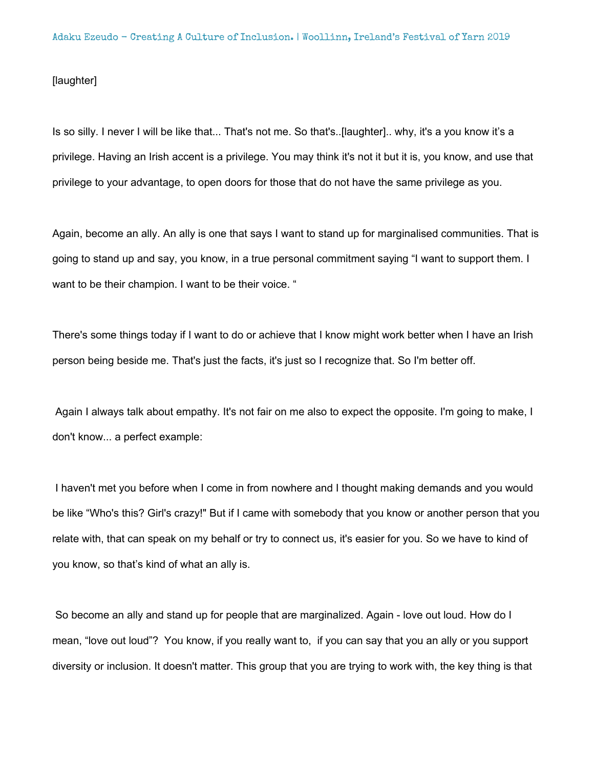## [laughter]

Is so silly. I never I will be like that... That's not me. So that's..[laughter].. why, it's a you know it's a privilege. Having an Irish accent is a privilege. You may think it's not it but it is, you know, and use that privilege to your advantage, to open doors for those that do not have the same privilege as you.

Again, become an ally. An ally is one that says I want to stand up for marginalised communities. That is going to stand up and say, you know, in a true personal commitment saying "I want to support them. I want to be their champion. I want to be their voice. "

There's some things today if I want to do or achieve that I know might work better when I have an Irish person being beside me. That's just the facts, it's just so I recognize that. So I'm better off.

Again I always talk about empathy. It's not fair on me also to expect the opposite. I'm going to make, I don't know... a perfect example:

I haven't met you before when I come in from nowhere and I thought making demands and you would be like "Who's this? Girl's crazy!" But if I came with somebody that you know or another person that you relate with, that can speak on my behalf or try to connect us, it's easier for you. So we have to kind of you know, so that's kind of what an ally is.

So become an ally and stand up for people that are marginalized. Again - love out loud. How do I mean, "love out loud"? You know, if you really want to, if you can say that you an ally or you support diversity or inclusion. It doesn't matter. This group that you are trying to work with, the key thing is that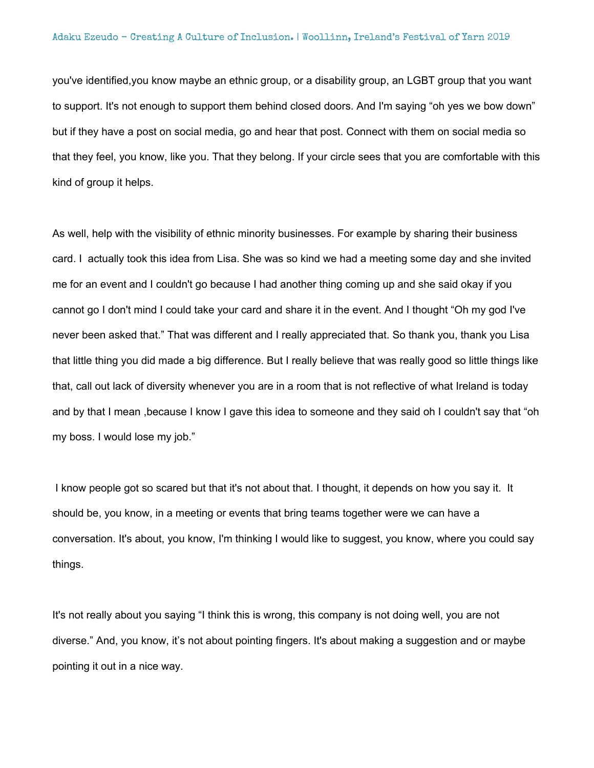you've identified,you know maybe an ethnic group, or a disability group, an LGBT group that you want to support. It's not enough to support them behind closed doors. And I'm saying "oh yes we bow down" but if they have a post on social media, go and hear that post. Connect with them on social media so that they feel, you know, like you. That they belong. If your circle sees that you are comfortable with this kind of group it helps.

As well, help with the visibility of ethnic minority businesses. For example by sharing their business card. I actually took this idea from Lisa. She was so kind we had a meeting some day and she invited me for an event and I couldn't go because I had another thing coming up and she said okay if you cannot go I don't mind I could take your card and share it in the event. And I thought "Oh my god I've never been asked that." That was different and I really appreciated that. So thank you, thank you Lisa that little thing you did made a big difference. But I really believe that was really good so little things like that, call out lack of diversity whenever you are in a room that is not reflective of what Ireland is today and by that I mean ,because I know I gave this idea to someone and they said oh I couldn't say that "oh my boss. I would lose my job."

I know people got so scared but that it's not about that. I thought, it depends on how you say it. It should be, you know, in a meeting or events that bring teams together were we can have a conversation. It's about, you know, I'm thinking I would like to suggest, you know, where you could say things.

It's not really about you saying "I think this is wrong, this company is not doing well, you are not diverse." And, you know, it's not about pointing fingers. It's about making a suggestion and or maybe pointing it out in a nice way.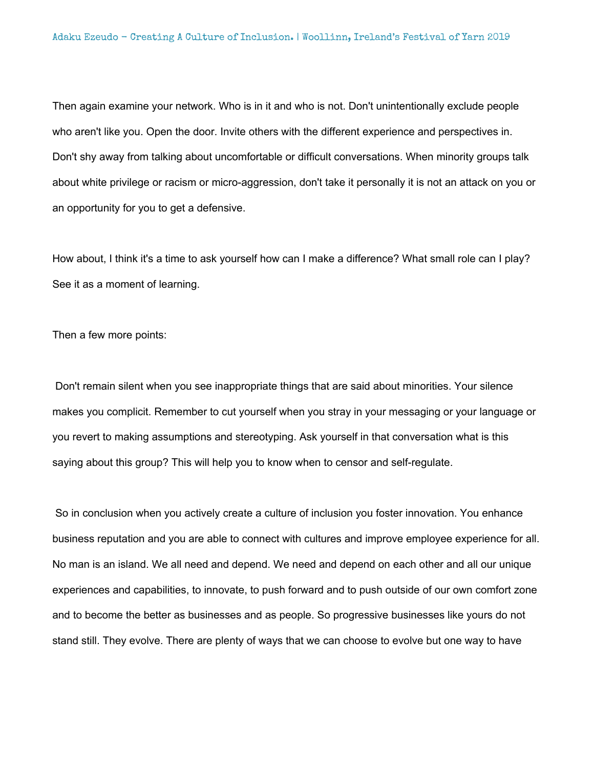Then again examine your network. Who is in it and who is not. Don't unintentionally exclude people who aren't like you. Open the door. Invite others with the different experience and perspectives in. Don't shy away from talking about uncomfortable or difficult conversations. When minority groups talk about white privilege or racism or micro-aggression, don't take it personally it is not an attack on you or an opportunity for you to get a defensive.

How about, I think it's a time to ask yourself how can I make a difference? What small role can I play? See it as a moment of learning.

Then a few more points:

Don't remain silent when you see inappropriate things that are said about minorities. Your silence makes you complicit. Remember to cut yourself when you stray in your messaging or your language or you revert to making assumptions and stereotyping. Ask yourself in that conversation what is this saying about this group? This will help you to know when to censor and self-regulate.

So in conclusion when you actively create a culture of inclusion you foster innovation. You enhance business reputation and you are able to connect with cultures and improve employee experience for all. No man is an island. We all need and depend. We need and depend on each other and all our unique experiences and capabilities, to innovate, to push forward and to push outside of our own comfort zone and to become the better as businesses and as people. So progressive businesses like yours do not stand still. They evolve. There are plenty of ways that we can choose to evolve but one way to have